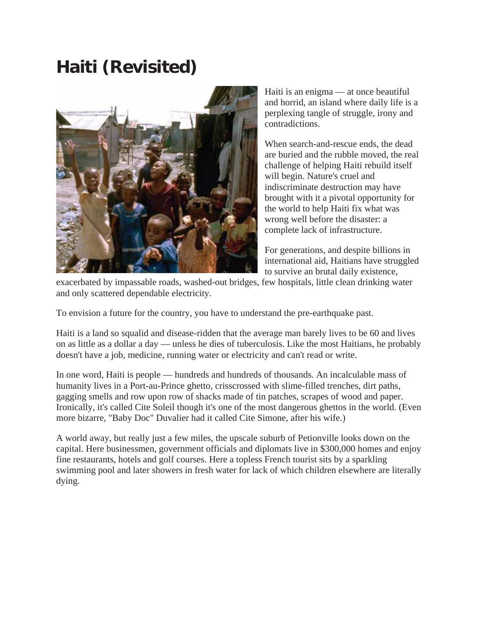## **Haiti (Revisited)**



Haiti is an enigma — at once beautiful and horrid, an island where daily life is a perplexing tangle of struggle, irony and contradictions.

When search-and-rescue ends, the dead are buried and the rubble moved, the real challenge of helping Haiti rebuild itself will begin. Nature's cruel and indiscriminate destruction may have brought with it a pivotal opportunity for the world to help Haiti fix what was wrong well before the disaster: a complete lack of infrastructure.

For generations, and despite billions in international aid, Haitians have struggled to survive an brutal daily existence,

exacerbated by impassable roads, washed-out bridges, few hospitals, little clean drinking water and only scattered dependable electricity.

To envision a future for the country, you have to understand the pre-earthquake past.

Haiti is a land so squalid and disease-ridden that the average man barely lives to be 60 and lives on as little as a dollar a day — unless he dies of tuberculosis. Like the most Haitians, he probably doesn't have a job, medicine, running water or electricity and can't read or write.

In one word, Haiti is people — hundreds and hundreds of thousands. An incalculable mass of humanity lives in a Port-au-Prince ghetto, crisscrossed with slime-filled trenches, dirt paths, gagging smells and row upon row of shacks made of tin patches, scrapes of wood and paper. Ironically, it's called Cite Soleil though it's one of the most dangerous ghettos in the world. (Even more bizarre, "Baby Doc" Duvalier had it called Cite Simone, after his wife.)

A world away, but really just a few miles, the upscale suburb of Petionville looks down on the capital. Here businessmen, government officials and diplomats live in \$300,000 homes and enjoy fine restaurants, hotels and golf courses. Here a topless French tourist sits by a sparkling swimming pool and later showers in fresh water for lack of which children elsewhere are literally dying.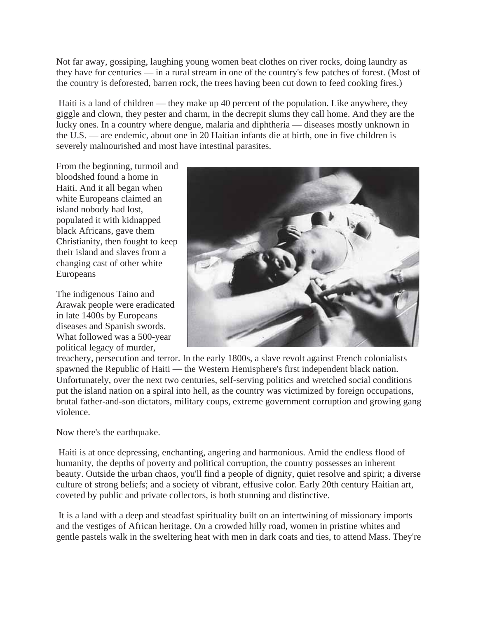Not far away, gossiping, laughing young women beat clothes on river rocks, doing laundry as they have for centuries — in a rural stream in one of the country's few patches of forest. (Most of the country is deforested, barren rock, the trees having been cut down to feed cooking fires.)

 Haiti is a land of children — they make up 40 percent of the population. Like anywhere, they giggle and clown, they pester and charm, in the decrepit slums they call home. And they are the lucky ones. In a country where dengue, malaria and diphtheria — diseases mostly unknown in the U.S. — are endemic, about one in 20 Haitian infants die at birth, one in five children is severely malnourished and most have intestinal parasites.

From the beginning, turmoil and bloodshed found a home in Haiti. And it all began when white Europeans claimed an island nobody had lost, populated it with kidnapped black Africans, gave them Christianity, then fought to keep their island and slaves from a changing cast of other white Europeans

The indigenous Taino and Arawak people were eradicated in late 1400s by Europeans diseases and Spanish swords. What followed was a 500-year political legacy of murder,



treachery, persecution and terror. In the early 1800s, a slave revolt against French colonialists spawned the Republic of Haiti — the Western Hemisphere's first independent black nation. Unfortunately, over the next two centuries, self-serving politics and wretched social conditions put the island nation on a spiral into hell, as the country was victimized by foreign occupations, brutal father-and-son dictators, military coups, extreme government corruption and growing gang violence.

## Now there's the earthquake.

 Haiti is at once depressing, enchanting, angering and harmonious. Amid the endless flood of humanity, the depths of poverty and political corruption, the country possesses an inherent beauty. Outside the urban chaos, you'll find a people of dignity, quiet resolve and spirit; a diverse culture of strong beliefs; and a society of vibrant, effusive color. Early 20th century Haitian art, coveted by public and private collectors, is both stunning and distinctive.

 It is a land with a deep and steadfast spirituality built on an intertwining of missionary imports and the vestiges of African heritage. On a crowded hilly road, women in pristine whites and gentle pastels walk in the sweltering heat with men in dark coats and ties, to attend Mass. They're